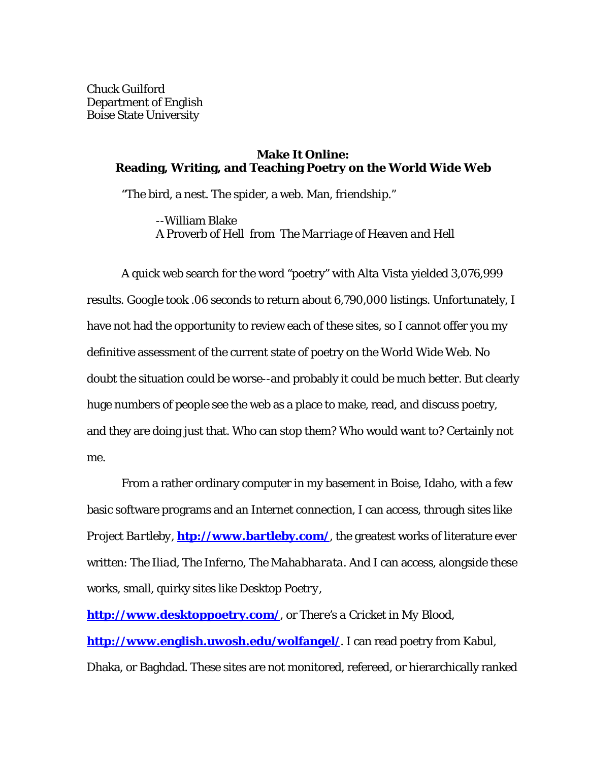Chuck Guilford Department of English Boise State University

## **Make It Online: Reading, Writing, and Teaching Poetry on the World Wide Web**

"The bird, a nest. The spider, a web. Man, friendship."

--William Blake A Proverb of Hell from *The Marriage of Heaven and Hell*

A quick web search for the word "poetry" with *Alta Vista* yielded 3,076,999 results. *Google* took .06 seconds to return about 6,790,000 listings. Unfortunately, I have not had the opportunity to review each of these sites, so I cannot offer you my definitive assessment of the current state of poetry on the World Wide Web. No doubt the situation could be worse--and probably it could be much better. But clearly huge numbers of people see the web as a place to make, read, and discuss poetry, and they are doing just that. Who can stop them? Who would want to? Certainly not me.

From a rather ordinary computer in my basement in Boise, Idaho, with a few basic software programs and an Internet connection, I can access, through sites like *Project Bartleby*, **htp://www.bartleby.com/**, the greatest works of literature ever written: *The Iliad*, *The Inferno*, *The Mahabharata*. And I can access, alongside these works, small, quirky sites like *Desktop Poetry*,

**http://www.desktoppoetry.com/**, or *There's a Cricket in My Blood*, **http://www.english.uwosh.edu/wolfangel/**. I can read poetry from Kabul, Dhaka, or Baghdad. These sites are not monitored, refereed, or hierarchically ranked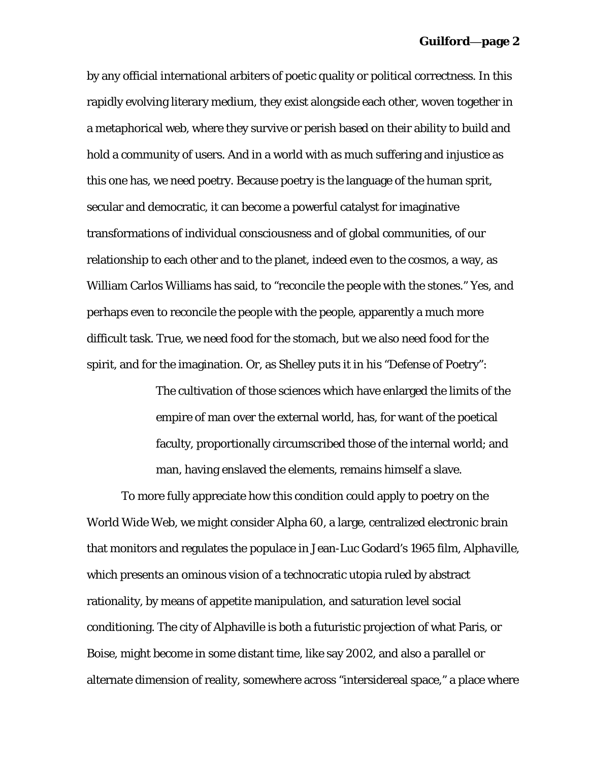by any official international arbiters of poetic quality or political correctness. In this rapidly evolving literary medium, they exist alongside each other, woven together in a metaphorical web, where they survive or perish based on their ability to build and hold a community of users. And in a world with as much suffering and injustice as this one has, we need poetry. Because poetry is the language of the human sprit, secular and democratic, it can become a powerful catalyst for imaginative transformations of individual consciousness and of global communities, of our relationship to each other and to the planet, indeed even to the cosmos, a way, as William Carlos Williams has said, to "reconcile the people with the stones." Yes, and perhaps even to reconcile the people with the people, apparently a much more difficult task. True, we need food for the stomach, but we also need food for the spirit, and for the imagination. Or, as Shelley puts it in his "Defense of Poetry":

> The cultivation of those sciences which have enlarged the limits of the empire of man over the external world, has, for want of the poetical faculty, proportionally circumscribed those of the internal world; and man, having enslaved the elements, remains himself a slave.

To more fully appreciate how this condition could apply to poetry on the World Wide Web, we might consider Alpha 60, a large, centralized electronic brain that monitors and regulates the populace in Jean-Luc Godard's 1965 film, *Alphaville*, which presents an ominous vision of a technocratic utopia ruled by abstract rationality, by means of appetite manipulation, and saturation level social conditioning. The city of Alphaville is both a futuristic projection of what Paris, or Boise, might become in some distant time, like say 2002, and also a parallel or alternate dimension of reality, somewhere across "intersidereal space," a place where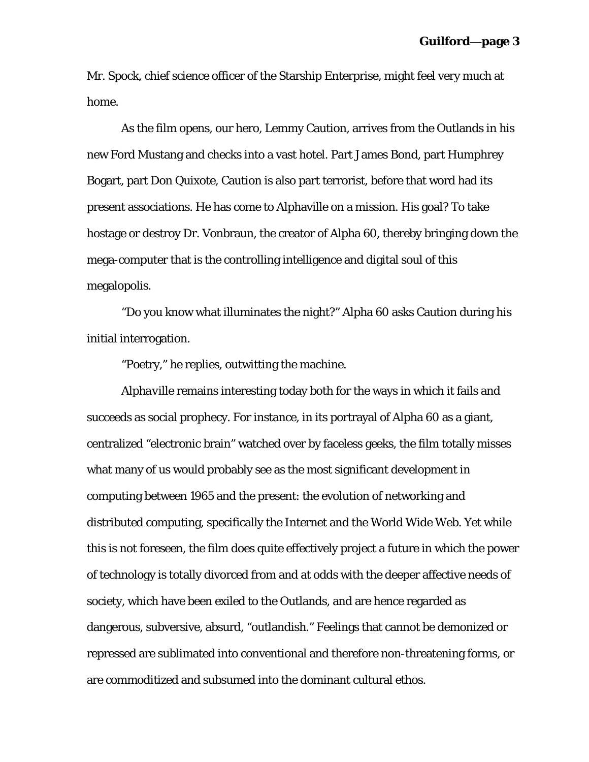Mr. Spock, chief science officer of the Starship Enterprise, might feel very much at home.

As the film opens, our hero, Lemmy Caution, arrives from the Outlands in his new Ford Mustang and checks into a vast hotel. Part James Bond, part Humphrey Bogart, part Don Quixote, Caution is also part terrorist, before that word had its present associations. He has come to Alphaville on a mission. His goal? To take hostage or destroy Dr. Vonbraun, the creator of Alpha 60, thereby bringing down the mega-computer that is the controlling intelligence and digital soul of this megalopolis.

"Do you know what illuminates the night?" Alpha 60 asks Caution during his initial interrogation.

"Poetry," he replies, outwitting the machine.

*Alphaville* remains interesting today both for the ways in which it fails and succeeds as social prophecy. For instance, in its portrayal of Alpha 60 as a giant, centralized "electronic brain" watched over by faceless geeks, the film totally misses what many of us would probably see as the most significant development in computing between 1965 and the present: the evolution of networking and distributed computing, specifically the Internet and the World Wide Web. Yet while this is not foreseen, the film does quite effectively project a future in which the power of technology is totally divorced from and at odds with the deeper affective needs of society, which have been exiled to the Outlands, and are hence regarded as dangerous, subversive, absurd, "outlandish." Feelings that cannot be demonized or repressed are sublimated into conventional and therefore non-threatening forms, or are commoditized and subsumed into the dominant cultural ethos.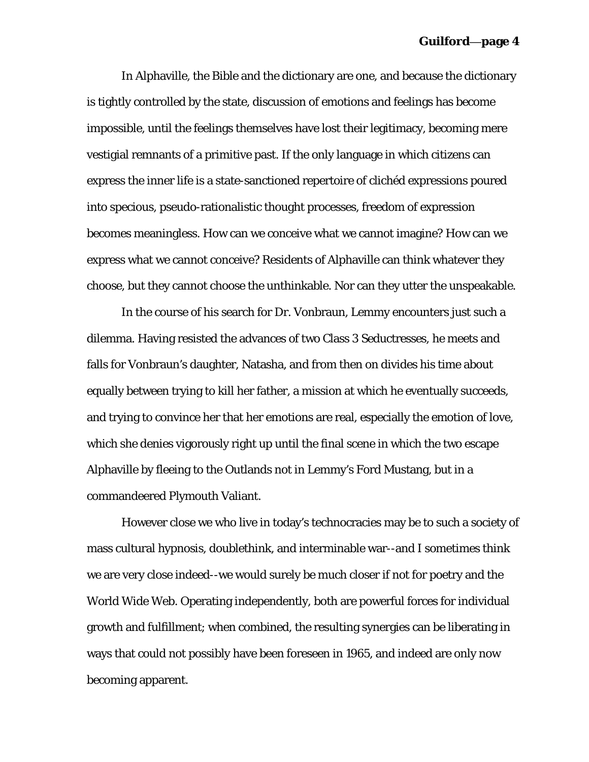In Alphaville, the Bible and the dictionary are one, and because the dictionary is tightly controlled by the state, discussion of emotions and feelings has become impossible, until the feelings themselves have lost their legitimacy, becoming mere vestigial remnants of a primitive past. If the only language in which citizens can express the inner life is a state-sanctioned repertoire of clichéd expressions poured into specious, pseudo-rationalistic thought processes, freedom of expression becomes meaningless. How can we conceive what we cannot imagine? How can we express what we cannot conceive? Residents of Alphaville can think whatever they choose, but they cannot choose the unthinkable. Nor can they utter the unspeakable.

In the course of his search for Dr. Vonbraun, Lemmy encounters just such a dilemma. Having resisted the advances of two Class 3 Seductresses, he meets and falls for Vonbraun's daughter, Natasha, and from then on divides his time about equally between trying to kill her father, a mission at which he eventually succeeds, and trying to convince her that her emotions are real, especially the emotion of love, which she denies vigorously right up until the final scene in which the two escape Alphaville by fleeing to the Outlands not in Lemmy's Ford Mustang, but in a commandeered Plymouth Valiant.

However close we who live in today's technocracies may be to such a society of mass cultural hypnosis, doublethink, and interminable war--and I sometimes think we are very close indeed--we would surely be much closer if not for poetry and the World Wide Web. Operating independently, both are powerful forces for individual growth and fulfillment; when combined, the resulting synergies can be liberating in ways that could not possibly have been foreseen in 1965, and indeed are only now becoming apparent.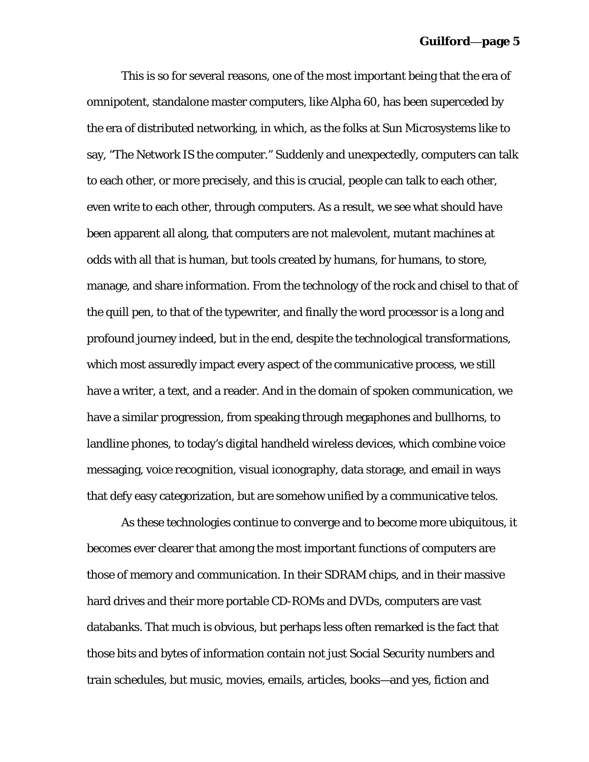This is so for several reasons, one of the most important being that the era of omnipotent, standalone master computers, like Alpha 60, has been superceded by the era of distributed networking, in which, as the folks at Sun Microsystems like to say, "The Network IS the computer." Suddenly and unexpectedly, computers can talk to each other, or more precisely, and this is crucial, people can talk to each other, even write to each other, through computers. As a result, we see what should have been apparent all along, that computers are not malevolent, mutant machines at odds with all that is human, but tools created by humans, for humans, to store, manage, and share information. From the technology of the rock and chisel to that of the quill pen, to that of the typewriter, and finally the word processor is a long and profound journey indeed, but in the end, despite the technological transformations, which most assuredly impact every aspect of the communicative process, we still have a writer, a text, and a reader. And in the domain of spoken communication, we have a similar progression, from speaking through megaphones and bullhorns, to landline phones, to today's digital handheld wireless devices, which combine voice messaging, voice recognition, visual iconography, data storage, and email in ways that defy easy categorization, but are somehow unified by a communicative telos.

As these technologies continue to converge and to become more ubiquitous, it becomes ever clearer that among the most important functions of computers are those of memory and communication. In their SDRAM chips, and in their massive hard drives and their more portable CD-ROMs and DVDs, computers are vast databanks. That much is obvious, but perhaps less often remarked is the fact that those bits and bytes of information contain not just Social Security numbers and train schedules, but music, movies, emails, articles, books—and yes, fiction and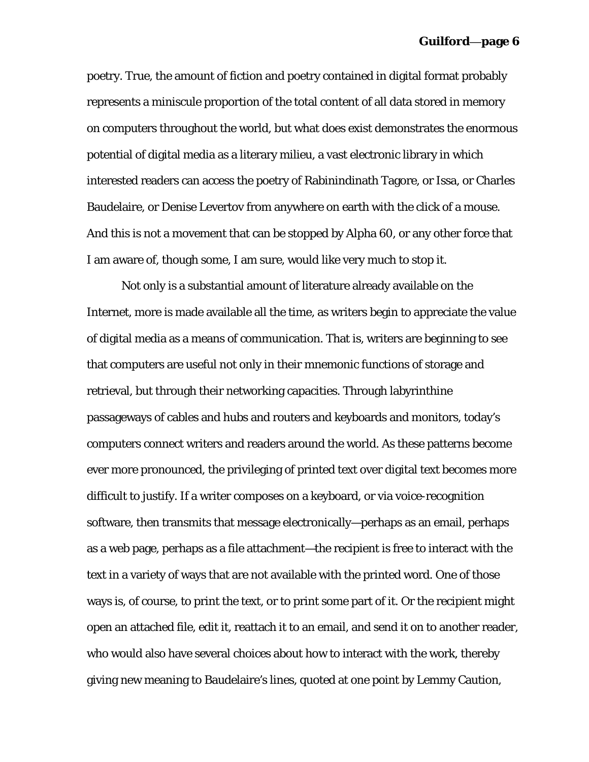poetry. True, the amount of fiction and poetry contained in digital format probably represents a miniscule proportion of the total content of all data stored in memory on computers throughout the world, but what does exist demonstrates the enormous potential of digital media as a literary milieu, a vast electronic library in which interested readers can access the poetry of Rabinindinath Tagore, or Issa, or Charles Baudelaire, or Denise Levertov from anywhere on earth with the click of a mouse. And this is not a movement that can be stopped by Alpha 60, or any other force that I am aware of, though some, I am sure, would like very much to stop it.

Not only is a substantial amount of literature already available on the Internet, more is made available all the time, as writers begin to appreciate the value of digital media as a means of communication. That is, writers are beginning to see that computers are useful not only in their mnemonic functions of storage and retrieval, but through their networking capacities. Through labyrinthine passageways of cables and hubs and routers and keyboards and monitors, today's computers connect writers and readers around the world. As these patterns become ever more pronounced, the privileging of printed text over digital text becomes more difficult to justify. If a writer composes on a keyboard, or via voice-recognition software, then transmits that message electronically—perhaps as an email, perhaps as a web page, perhaps as a file attachment—the recipient is free to interact with the text in a variety of ways that are not available with the printed word. One of those ways is, of course, to print the text, or to print some part of it. Or the recipient might open an attached file, edit it, reattach it to an email, and send it on to another reader, who would also have several choices about how to interact with the work, thereby giving new meaning to Baudelaire's lines, quoted at one point by Lemmy Caution,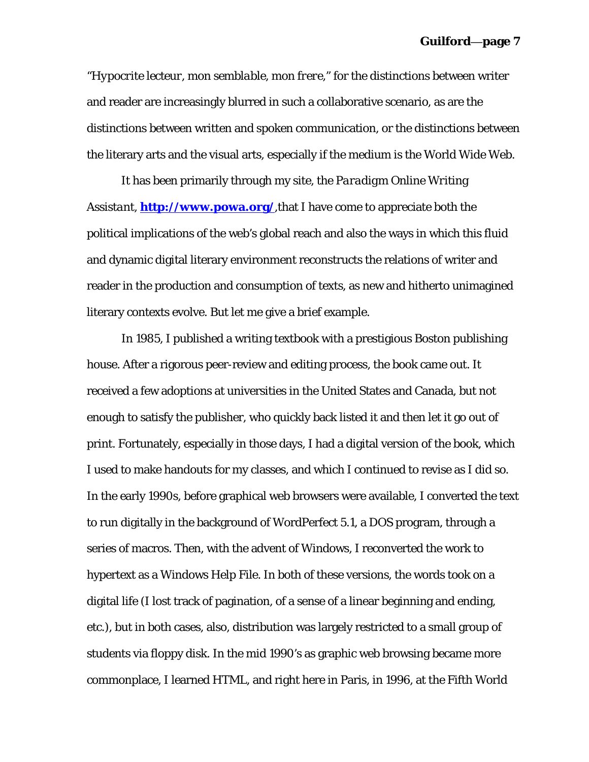"*Hypocrite lecteur, mon semblable, mon frere*," for the distinctions between writer and reader are increasingly blurred in such a collaborative scenario, as are the distinctions between written and spoken communication, or the distinctions between the literary arts and the visual arts, especially if the medium is the World Wide Web.

It has been primarily through my site, the *Paradigm Online Writing Assistant*, **http://www.powa.org/**,that I have come to appreciate both the political implications of the web's global reach and also the ways in which this fluid and dynamic digital literary environment reconstructs the relations of writer and reader in the production and consumption of texts, as new and hitherto unimagined literary contexts evolve. But let me give a brief example.

In 1985, I published a writing textbook with a prestigious Boston publishing house. After a rigorous peer-review and editing process, the book came out. It received a few adoptions at universities in the United States and Canada, but not enough to satisfy the publisher, who quickly back listed it and then let it go out of print. Fortunately, especially in those days, I had a digital version of the book, which I used to make handouts for my classes, and which I continued to revise as I did so. In the early 1990s, before graphical web browsers were available, I converted the text to run digitally in the background of WordPerfect 5.1, a DOS program, through a series of macros. Then, with the advent of Windows, I reconverted the work to hypertext as a Windows Help File. In both of these versions, the words took on a digital life (I lost track of pagination, of a sense of a linear beginning and ending, etc.), but in both cases, also, distribution was largely restricted to a small group of students via floppy disk. In the mid 1990's as graphic web browsing became more commonplace, I learned HTML, and right here in Paris, in 1996, at the Fifth World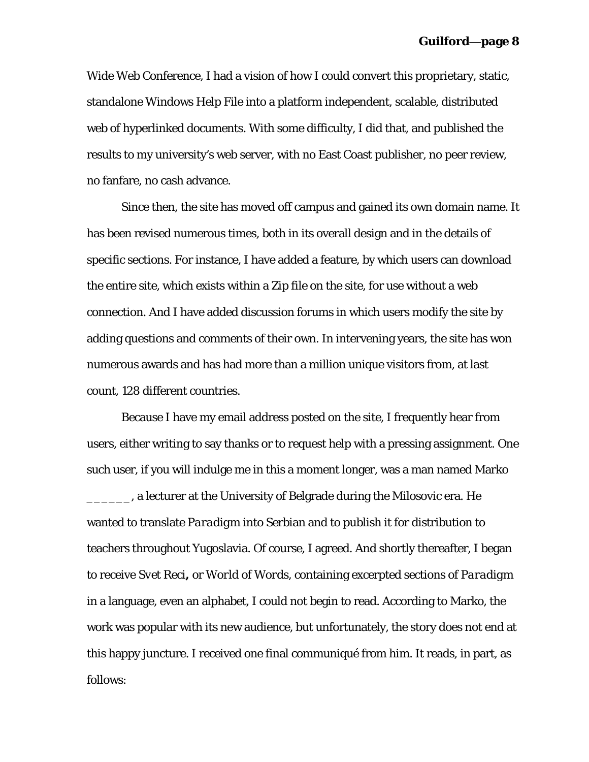Wide Web Conference, I had a vision of how I could convert this proprietary, static, standalone Windows Help File into a platform independent, scalable, distributed web of hyperlinked documents. With some difficulty, I did that, and published the results to my university's web server, with no East Coast publisher, no peer review, no fanfare, no cash advance.

Since then, the site has moved off campus and gained its own domain name. It has been revised numerous times, both in its overall design and in the details of specific sections. For instance, I have added a feature, by which users can download the entire site, which exists within a Zip file on the site, for use without a web connection. And I have added discussion forums in which users modify the site by adding questions and comments of their own. In intervening years, the site has won numerous awards and has had more than a million unique visitors from, at last count, 128 different countries.

Because I have my email address posted on the site, I frequently hear from users, either writing to say thanks or to request help with a pressing assignment. One such user, if you will indulge me in this a moment longer, was a man named Marko **12. Evaluar**, a lecturer at the University of Belgrade during the Milosovic era. He wanted to translate *Paradigm* into Serbian and to publish it for distribution to teachers throughout Yugoslavia. Of course, I agreed. And shortly thereafter, I began to receive *Svet Reci***,** or *World of Words*, containing excerpted sections of *Paradigm* in a language, even an alphabet, I could not begin to read. According to Marko, the work was popular with its new audience, but unfortunately, the story does not end at this happy juncture. I received one final communiqué from him. It reads, in part, as follows: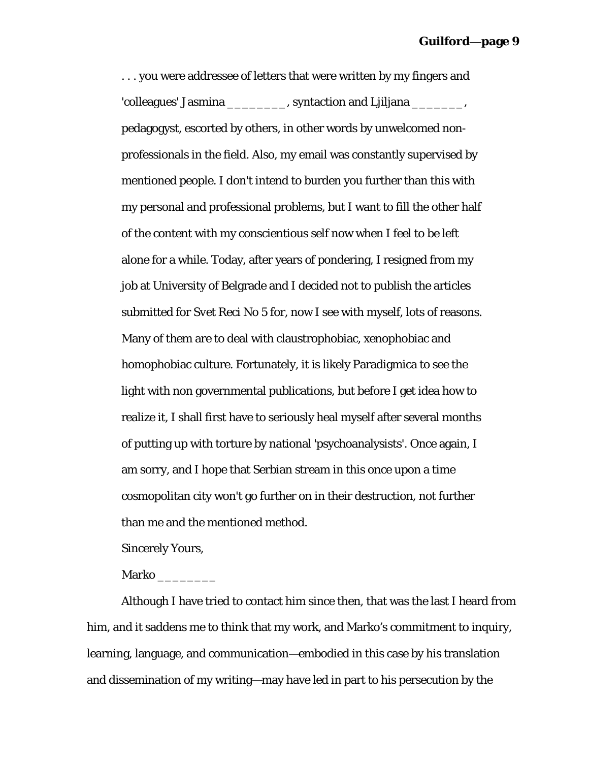. . . you were addressee of letters that were written by my fingers and 'colleagues' Jasmina \_\_\_\_\_\_\_\_, syntaction and Ljiljana \_\_\_\_\_\_\_, pedagogyst, escorted by others, in other words by unwelcomed nonprofessionals in the field. Also, my email was constantly supervised by mentioned people. I don't intend to burden you further than this with my personal and professional problems, but I want to fill the other half of the content with my conscientious self now when I feel to be left alone for a while. Today, after years of pondering, I resigned from my job at University of Belgrade and I decided not to publish the articles submitted for *Svet Reci* No 5 for, now I see with myself, lots of reasons. Many of them are to deal with claustrophobiac, xenophobiac and homophobiac culture. Fortunately, it is likely Paradigmica to see the light with non governmental publications, but before I get idea how to realize it, I shall first have to seriously heal myself after several months of putting up with torture by national 'psychoanalysists'. Once again, I am sorry, and I hope that Serbian stream in this once upon a time cosmopolitan city won't go further on in their destruction, not further than me and the mentioned method.

Sincerely Yours,

Marko \_\_\_\_\_\_\_\_

Although I have tried to contact him since then, that was the last I heard from him, and it saddens me to think that my work, and Marko's commitment to inquiry, learning, language, and communication—embodied in this case by his translation and dissemination of my writing—may have led in part to his persecution by the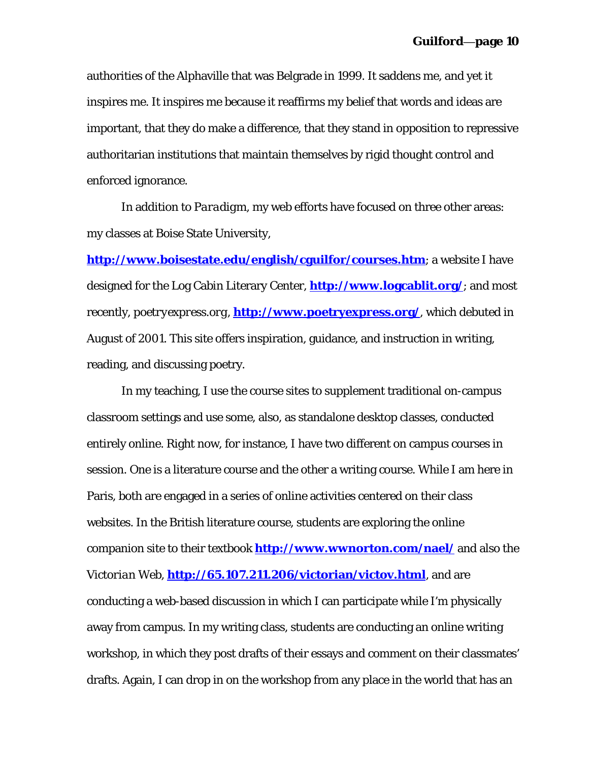authorities of the Alphaville that was Belgrade in 1999. It saddens me, and yet it inspires me. It inspires me because it reaffirms my belief that words and ideas are important, that they do make a difference, that they stand in opposition to repressive authoritarian institutions that maintain themselves by rigid thought control and enforced ignorance.

In addition to *Paradigm*, my web efforts have focused on three other areas: my classes at Boise State University,

**http://www.boisestate.edu/english/cguilfor/courses.htm**; a website I have designed for the Log Cabin Literary Center, **http://www.logcablit.org/**; and most recently, *poetryexpress.org*, **http://www.poetryexpress.org/**, which debuted in August of 2001. This site offers inspiration, guidance, and instruction in writing, reading, and discussing poetry.

In my teaching, I use the course sites to supplement traditional on-campus classroom settings and use some, also, as standalone desktop classes, conducted entirely online. Right now, for instance, I have two different on campus courses in session. One is a literature course and the other a writing course. While I am here in Paris, both are engaged in a series of online activities centered on their class websites. In the British literature course, students are exploring the online companion site to their textbook **http://www.wwnorton.com/nael/** and also the *Victorian Web*, **http://65.107.211.206/victorian/victov.html**, and are conducting a web-based discussion in which I can participate while I'm physically away from campus. In my writing class, students are conducting an online writing workshop, in which they post drafts of their essays and comment on their classmates' drafts. Again, I can drop in on the workshop from any place in the world that has an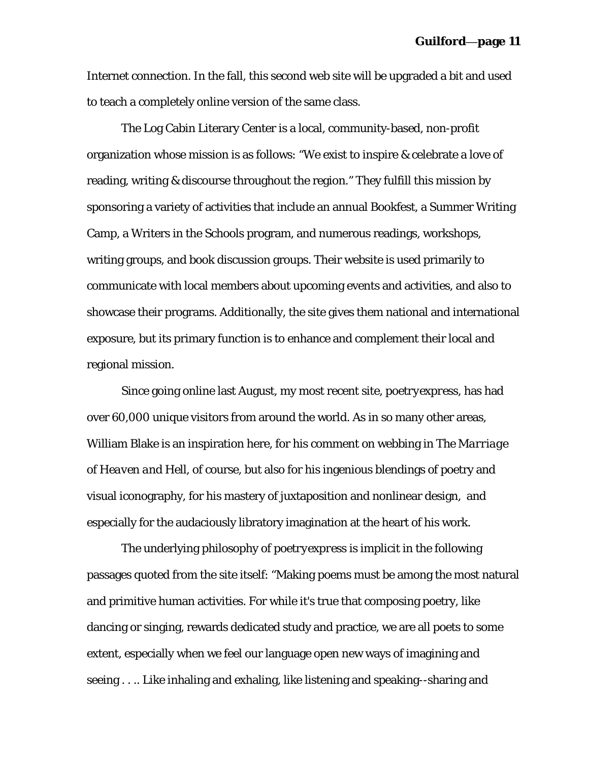Internet connection. In the fall, this second web site will be upgraded a bit and used to teach a completely online version of the same class.

The Log Cabin Literary Center is a local, community-based, non-profit organization whose mission is as follows: "We exist to inspire & celebrate a love of reading, writing & discourse throughout the region." They fulfill this mission by sponsoring a variety of activities that include an annual Bookfest, a Summer Writing Camp, a Writers in the Schools program, and numerous readings, workshops, writing groups, and book discussion groups. Their website is used primarily to communicate with local members about upcoming events and activities, and also to showcase their programs. Additionally, the site gives them national and international exposure, but its primary function is to enhance and complement their local and regional mission.

Since going online last August, my most recent site, *poetryexpress*, has had over 60,000 unique visitors from around the world. As in so many other areas, William Blake is an inspiration here, for his comment on webbing in *The Marriage of Heaven and Hell*, of course, but also for his ingenious blendings of poetry and visual iconography, for his mastery of juxtaposition and nonlinear design, and especially for the audaciously libratory imagination at the heart of his work.

The underlying philosophy of *poetryexpress* is implicit in the following passages quoted from the site itself: "Making poems must be among the most natural and primitive human activities. For while it's true that composing poetry, like dancing or singing, rewards dedicated study and practice, we are all poets to some extent, especially when we feel our language open new ways of imagining and seeing . . .. Like inhaling and exhaling, like listening and speaking--sharing and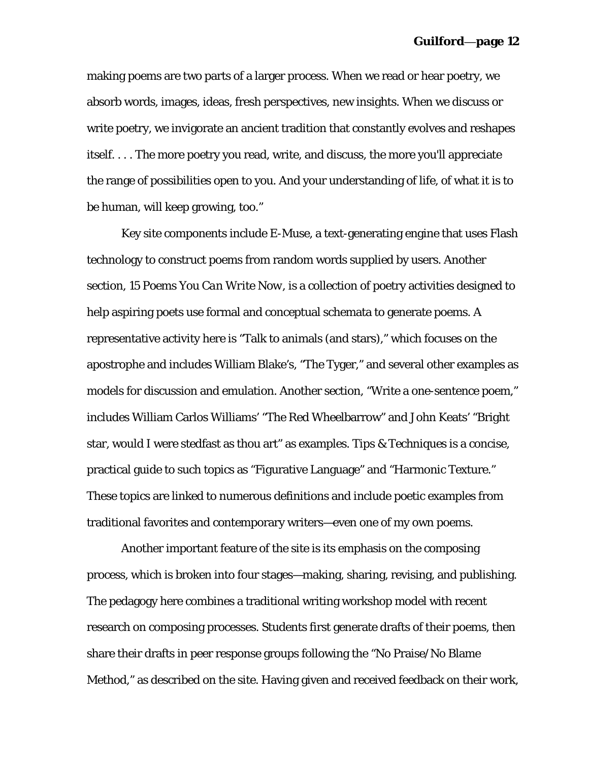making poems are two parts of a larger process. When we read or hear poetry, we absorb words, images, ideas, fresh perspectives, new insights. When we discuss or write poetry, we invigorate an ancient tradition that constantly evolves and reshapes itself. . . . The more poetry you read, write, and discuss, the more you'll appreciate the range of possibilities open to you. And your understanding of life, of what it is to be human, will keep growing, too."

Key site components include *E-Muse*, a text-generating engine that uses Flash technology to construct poems from random words supplied by users. Another section, *15 Poems You Can Write Now*, is a collection of poetry activities designed to help aspiring poets use formal and conceptual schemata to generate poems. A representative activity here is "Talk to animals (and stars)," which focuses on the apostrophe and includes William Blake's, "The Tyger," and several other examples as models for discussion and emulation. Another section, "Write a one-sentence poem," includes William Carlos Williams' "The Red Wheelbarrow" and John Keats' "Bright star, would I were stedfast as thou art" as examples. *Tips & Techniques* is a concise, practical guide to such topics as "Figurative Language" and "Harmonic Texture." These topics are linked to numerous definitions and include poetic examples from traditional favorites and contemporary writers—even one of my own poems.

Another important feature of the site is its emphasis on the composing process, which is broken into four stages—making, sharing, revising, and publishing. The pedagogy here combines a traditional writing workshop model with recent research on composing processes. Students first generate drafts of their poems, then share their drafts in peer response groups following the "No Praise/No Blame Method," as described on the site. Having given and received feedback on their work,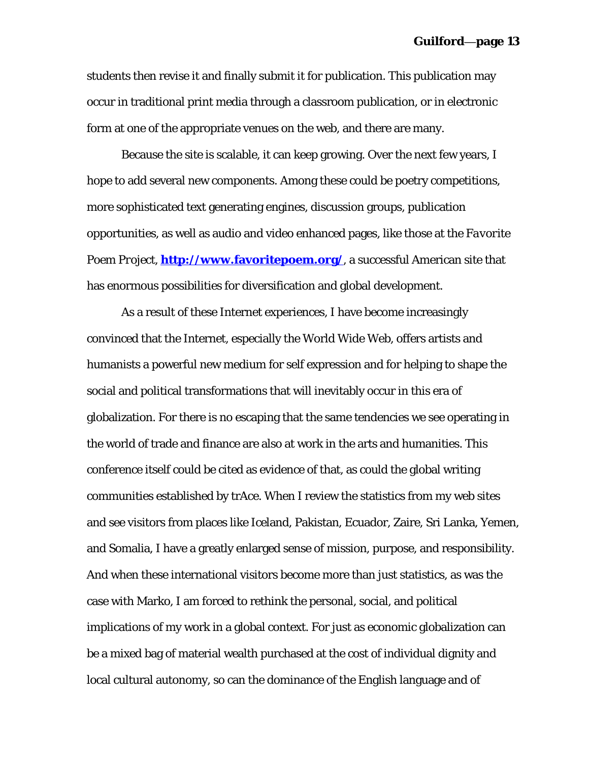students then revise it and finally submit it for publication. This publication may occur in traditional print media through a classroom publication, or in electronic form at one of the appropriate venues on the web, and there are many.

Because the site is scalable, it can keep growing. Over the next few years, I hope to add several new components. Among these could be poetry competitions, more sophisticated text generating engines, discussion groups, publication opportunities, as well as audio and video enhanced pages, like those at the *Favorite Poem Project*, **http://www.favoritepoem.org/**, a successful American site that has enormous possibilities for diversification and global development.

As a result of these Internet experiences, I have become increasingly convinced that the Internet, especially the World Wide Web, offers artists and humanists a powerful new medium for self expression and for helping to shape the social and political transformations that will inevitably occur in this era of globalization. For there is no escaping that the same tendencies we see operating in the world of trade and finance are also at work in the arts and humanities. This conference itself could be cited as evidence of that, as could the global writing communities established by trAce. When I review the statistics from my web sites and see visitors from places like Iceland, Pakistan, Ecuador, Zaire, Sri Lanka, Yemen, and Somalia, I have a greatly enlarged sense of mission, purpose, and responsibility. And when these international visitors become more than just statistics, as was the case with Marko, I am forced to rethink the personal, social, and political implications of my work in a global context. For just as economic globalization can be a mixed bag of material wealth purchased at the cost of individual dignity and local cultural autonomy, so can the dominance of the English language and of